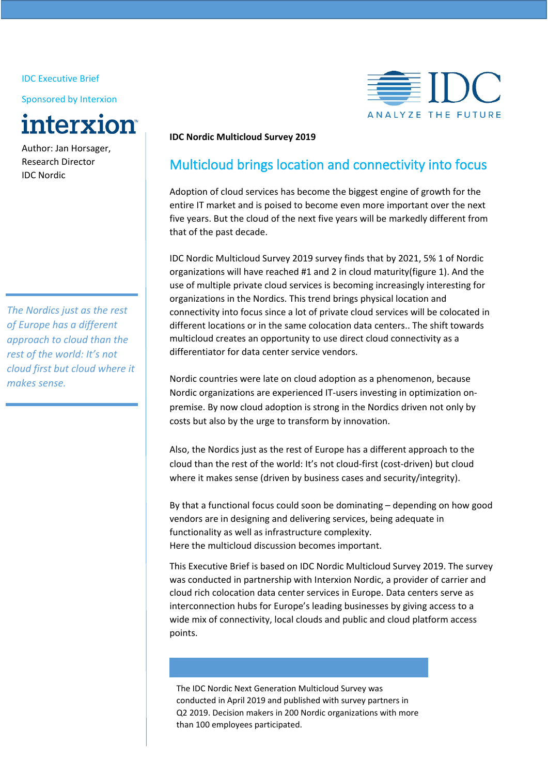IDC Executive Brief

Sponsored by Interxion



Author: Jan Horsager, Research Director IDC Nordic

*The Nordics just as the rest of Europe has a different approach to cloud than the rest of the world: It's not cloud first but cloud where it makes sense.*



## **IDC Nordic Multicloud Survey 2019**

# Multicloud brings location and connectivity into focus

Adoption of cloud services has become the biggest engine of growth for the entire IT market and is poised to become even more important over the next five years. But the cloud of the next five years will be markedly different from that of the past decade.

IDC Nordic Multicloud Survey 2019 survey finds that by 2021, 5% 1 of Nordic organizations will have reached #1 and 2 in cloud maturity(figure 1). And the use of multiple private cloud services is becoming increasingly interesting for organizations in the Nordics. This trend brings physical location and connectivity into focus since a lot of private cloud services will be colocated in different locations or in the same colocation data centers.. The shift towards multicloud creates an opportunity to use direct cloud connectivity as a differentiator for data center service vendors.

Nordic countries were late on cloud adoption as a phenomenon, because Nordic organizations are experienced IT-users investing in optimization onpremise. By now cloud adoption is strong in the Nordics driven not only by costs but also by the urge to transform by innovation.

Also, the Nordics just as the rest of Europe has a different approach to the cloud than the rest of the world: It's not cloud-first (cost-driven) but cloud where it makes sense (driven by business cases and security/integrity).

By that a functional focus could soon be dominating – depending on how good vendors are in designing and delivering services, being adequate in functionality as well as infrastructure complexity. Here the multicloud discussion becomes important.

This Executive Brief is based on IDC Nordic Multicloud Survey 2019. The survey was conducted in partnership with Interxion Nordic, a provider of carrier and cloud rich colocation data center services in Europe. Data centers serve as interconnection hubs for Europe's leading businesses by giving access to a wide mix of connectivity, local clouds and public and cloud platform access points.

The IDC Nordic Next Generation Multicloud Survey was conducted in April 2019 and published with survey partners in Q2 2019. Decision makers in 200 Nordic organizations with more than 100 employees participated.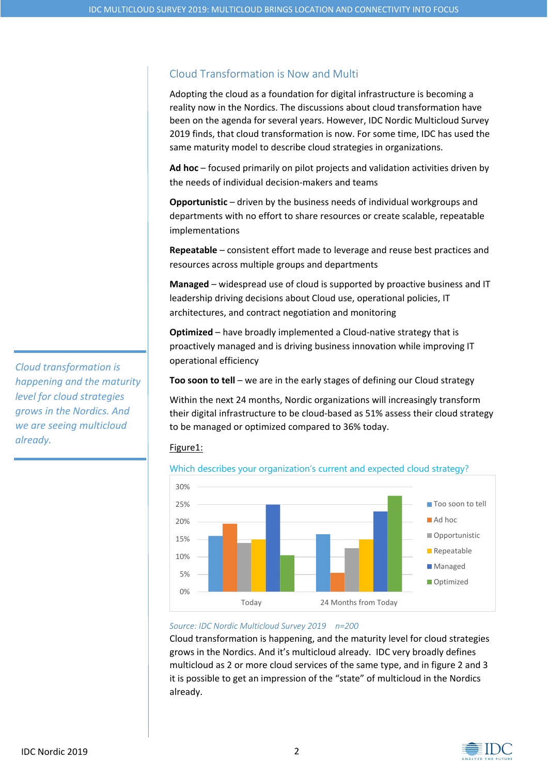## Cloud Transformation is Now and Multi

Adopting the cloud as a foundation for digital infrastructure is becoming a reality now in the Nordics. The discussions about cloud transformation have been on the agenda for several years. However, IDC Nordic Multicloud Survey 2019 finds, that cloud transformation is now. For some time, IDC has used the same maturity model to describe cloud strategies in organizations.

**Ad hoc** – focused primarily on pilot projects and validation activities driven by the needs of individual decision-makers and teams

**Opportunistic** – driven by the business needs of individual workgroups and departments with no effort to share resources or create scalable, repeatable implementations

**Repeatable** – consistent effort made to leverage and reuse best practices and resources across multiple groups and departments

**Managed** – widespread use of cloud is supported by proactive business and IT leadership driving decisions about Cloud use, operational policies, IT architectures, and contract negotiation and monitoring

**Optimized** – have broadly implemented a Cloud-native strategy that is proactively managed and is driving business innovation while improving IT operational efficiency

**Too soon to tell** – we are in the early stages of defining our Cloud strategy

Within the next 24 months, Nordic organizations will increasingly transform their digital infrastructure to be cloud-based as 51% assess their cloud strategy to be managed or optimized compared to 36% today.

## Figure1:





### *Source: IDC Nordic Multicloud Survey 2019 n=200*

Cloud transformation is happening, and the maturity level for cloud strategies grows in the Nordics. And it's multicloud already. IDC very broadly defines multicloud as 2 or more cloud services of the same type, and in figure 2 and 3 it is possible to get an impression of the "state" of multicloud in the Nordics already.

*Cloud transformation is happening and the maturity level for cloud strategies grows in the Nordics. And we are seeing multicloud already.* 

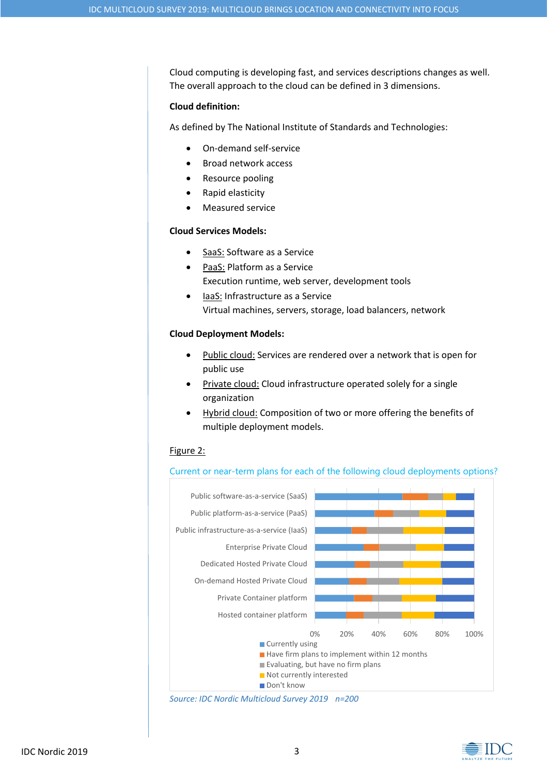Cloud computing is developing fast, and services descriptions changes as well. The overall approach to the cloud can be defined in 3 dimensions.

### **Cloud definition:**

As defined by The National Institute of Standards and Technologies:

- On-demand self-service
- Broad network access
- Resource pooling
- Rapid elasticity
- Measured service

### **Cloud Services Models:**

- SaaS: Software as a Service
- PaaS: Platform as a Service Execution runtime, web server, development tools
- laaS: Infrastructure as a Service Virtual machines, servers, storage, load balancers, network

### **Cloud Deployment Models:**

- Public cloud: Services are rendered over a network that is open for public use
- Private cloud: Cloud infrastructure operated solely for a single organization
- Hybrid cloud: Composition of two or more offering the benefits of multiple deployment models.

#### Figure 2:

### Current or near-term plans for each of the following cloud deployments options?



*Source: IDC Nordic Multicloud Survey 2019 n=200*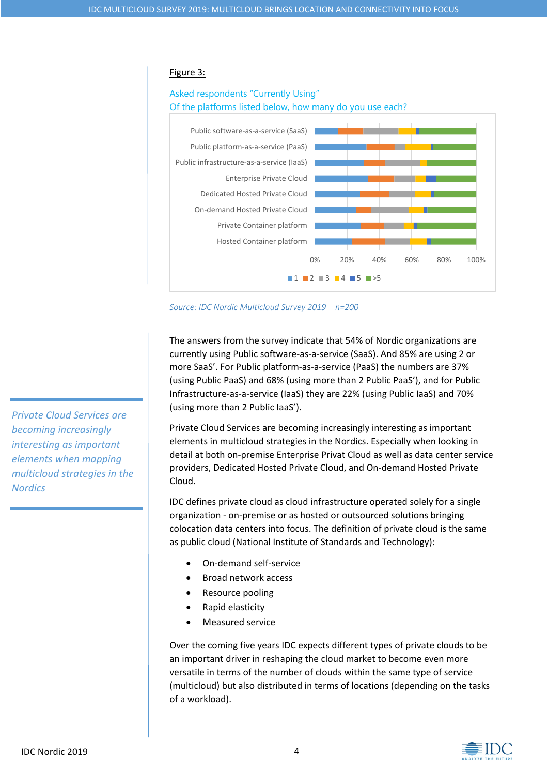#### Figure 3:

## Asked respondents "Currently Using" Of the platforms listed below, how many do you use each?





The answers from the survey indicate that 54% of Nordic organizations are currently using Public software-as-a-service (SaaS). And 85% are using 2 or more SaaS'. For Public platform-as-a-service (PaaS) the numbers are 37% (using Public PaaS) and 68% (using more than 2 Public PaaS'), and for Public Infrastructure-as-a-service (IaaS) they are 22% (using Public IaaS) and 70% (using more than 2 Public IaaS').

Private Cloud Services are becoming increasingly interesting as important elements in multicloud strategies in the Nordics. Especially when looking in detail at both on-premise Enterprise Privat Cloud as well as data center service providers, Dedicated Hosted Private Cloud, and On-demand Hosted Private Cloud.

IDC defines private cloud as cloud infrastructure operated solely for a single organization - on-premise or as hosted or outsourced solutions bringing colocation data centers into focus. The definition of private cloud is the same as public cloud (National Institute of Standards and Technology):

- On-demand self-service
- Broad network access
- Resource pooling
- Rapid elasticity
- Measured service

Over the coming five years IDC expects different types of private clouds to be an important driver in reshaping the cloud market to become even more versatile in terms of the number of clouds within the same type of service (multicloud) but also distributed in terms of locations (depending on the tasks of a workload).

*Private Cloud Services are becoming increasingly interesting as important elements when mapping multicloud strategies in the Nordics*

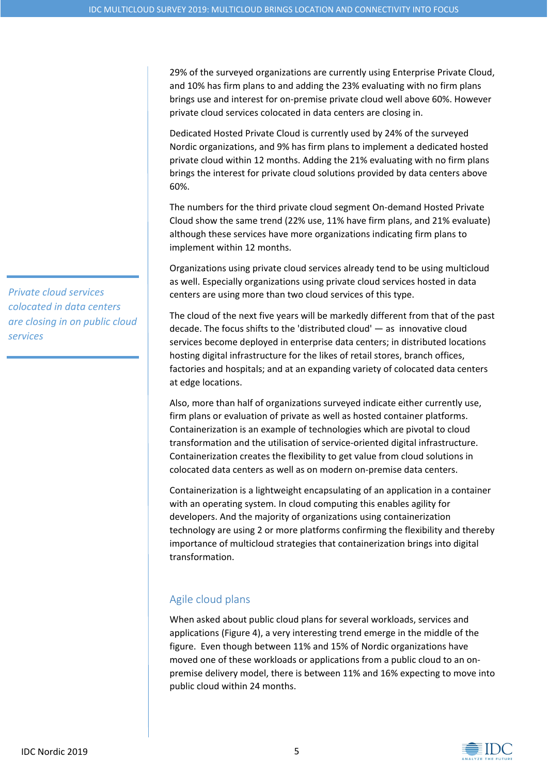29% of the surveyed organizations are currently using Enterprise Private Cloud, and 10% has firm plans to and adding the 23% evaluating with no firm plans brings use and interest for on-premise private cloud well above 60%. However private cloud services colocated in data centers are closing in.

Dedicated Hosted Private Cloud is currently used by 24% of the surveyed Nordic organizations, and 9% has firm plans to implement a dedicated hosted private cloud within 12 months. Adding the 21% evaluating with no firm plans brings the interest for private cloud solutions provided by data centers above 60%.

The numbers for the third private cloud segment On-demand Hosted Private Cloud show the same trend (22% use, 11% have firm plans, and 21% evaluate) although these services have more organizations indicating firm plans to implement within 12 months.

Organizations using private cloud services already tend to be using multicloud as well. Especially organizations using private cloud services hosted in data centers are using more than two cloud services of this type.

The cloud of the next five years will be markedly different from that of the past decade. The focus shifts to the 'distributed cloud' — as innovative cloud services become deployed in enterprise data centers; in distributed locations hosting digital infrastructure for the likes of retail stores, branch offices, factories and hospitals; and at an expanding variety of colocated data centers at edge locations.

Also, more than half of organizations surveyed indicate either currently use, firm plans or evaluation of private as well as hosted container platforms. Containerization is an example of technologies which are pivotal to cloud transformation and the utilisation of service-oriented digital infrastructure. Containerization creates the flexibility to get value from cloud solutions in colocated data centers as well as on modern on-premise data centers.

Containerization is a lightweight encapsulating of an application in a container with an operating system. In cloud computing this enables agility for developers. And the majority of organizations using containerization technology are using 2 or more platforms confirming the flexibility and thereby importance of multicloud strategies that containerization brings into digital transformation.

## Agile cloud plans

When asked about public cloud plans for several workloads, services and applications (Figure 4), a very interesting trend emerge in the middle of the figure. Even though between 11% and 15% of Nordic organizations have moved one of these workloads or applications from a public cloud to an onpremise delivery model, there is between 11% and 16% expecting to move into public cloud within 24 months.

*Private cloud services colocated in data centers are closing in on public cloud services*

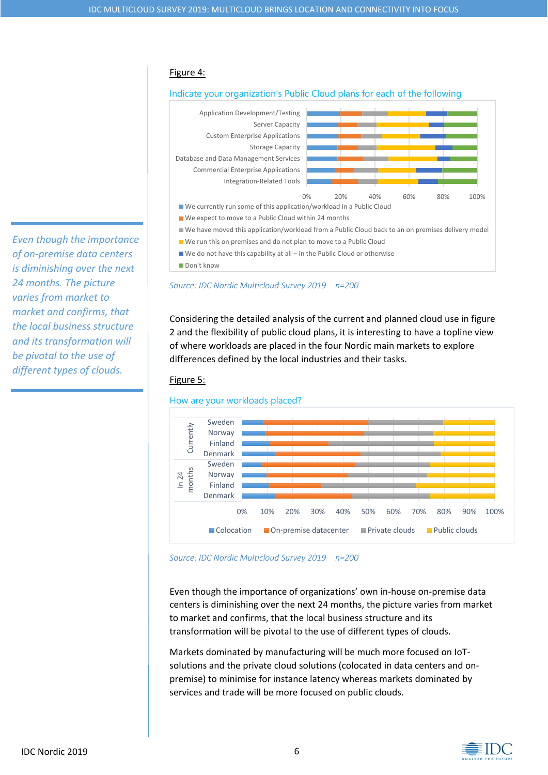### Figure 4:





Don't know

*Source: IDC Nordic Multicloud Survey 2019 n=200*

Considering the detailed analysis of the current and planned cloud use in figure 2 and the flexibility of public cloud plans, it is interesting to have a topline view of where workloads are placed in the four Nordic main markets to explore differences defined by the local industries and their tasks.



### How are your workloads placed?



*Source: IDC Nordic Multicloud Survey 2019 n=200*

Even though the importance of organizations' own in-house on-premise data centers is diminishing over the next 24 months, the picture varies from market to market and confirms, that the local business structure and its transformation will be pivotal to the use of different types of clouds.

Markets dominated by manufacturing will be much more focused on IoTsolutions and the private cloud solutions (colocated in data centers and onpremise) to minimise for instance latency whereas markets dominated by services and trade will be more focused on public clouds.

*Even though the importance of on-premise data centers is diminishing over the next 24 months. The picture varies from market to market and confirms, that the local business structure and its transformation will be pivotal to the use of different types of clouds.*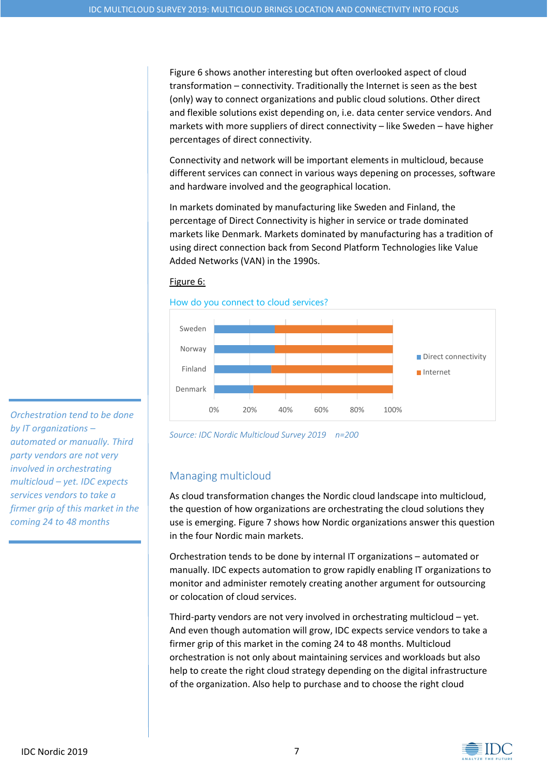Figure 6 shows another interesting but often overlooked aspect of cloud transformation – connectivity. Traditionally the Internet is seen as the best (only) way to connect organizations and public cloud solutions. Other direct and flexible solutions exist depending on, i.e. data center service vendors. And markets with more suppliers of direct connectivity – like Sweden – have higher percentages of direct connectivity.

Connectivity and network will be important elements in multicloud, because different services can connect in various ways depening on processes, software and hardware involved and the geographical location.

In markets dominated by manufacturing like Sweden and Finland, the percentage of Direct Connectivity is higher in service or trade dominated markets like Denmark. Markets dominated by manufacturing has a tradition of using direct connection back from Second Platform Technologies like Value Added Networks (VAN) in the 1990s.







*Source: IDC Nordic Multicloud Survey 2019 n=200*

## Managing multicloud

As cloud transformation changes the Nordic cloud landscape into multicloud, the question of how organizations are orchestrating the cloud solutions they use is emerging. Figure 7 shows how Nordic organizations answer this question in the four Nordic main markets.

Orchestration tends to be done by internal IT organizations – automated or manually. IDC expects automation to grow rapidly enabling IT organizations to monitor and administer remotely creating another argument for outsourcing or colocation of cloud services.

Third-party vendors are not very involved in orchestrating multicloud – yet. And even though automation will grow, IDC expects service vendors to take a firmer grip of this market in the coming 24 to 48 months. Multicloud orchestration is not only about maintaining services and workloads but also help to create the right cloud strategy depending on the digital infrastructure of the organization. Also help to purchase and to choose the right cloud

*Orchestration tend to be done by IT organizations – automated or manually. Third party vendors are not very involved in orchestrating multicloud – yet. IDC expects services vendors to take a firmer grip of this market in the coming 24 to 48 months*

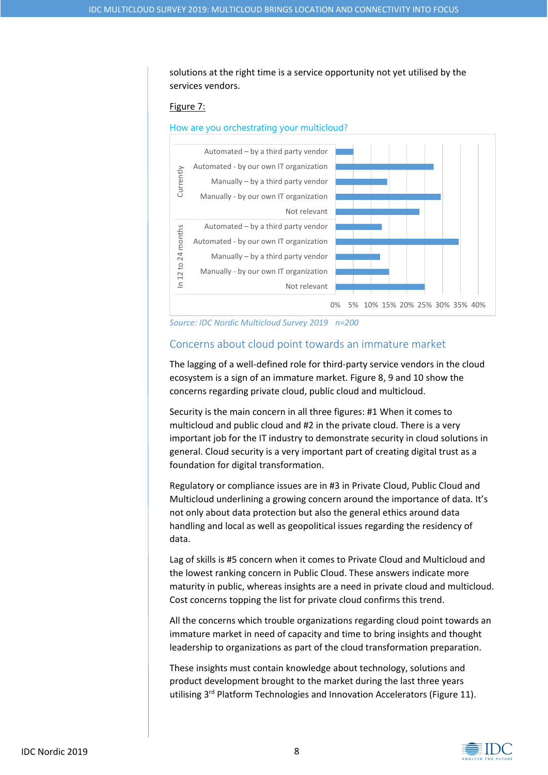solutions at the right time is a service opportunity not yet utilised by the services vendors.

### Figure 7:

#### How are you orchestrating your multicloud?



*Source: IDC Nordic Multicloud Survey 2019 n=200*

### Concerns about cloud point towards an immature market

The lagging of a well-defined role for third-party service vendors in the cloud ecosystem is a sign of an immature market. Figure 8, 9 and 10 show the concerns regarding private cloud, public cloud and multicloud.

Security is the main concern in all three figures: #1 When it comes to multicloud and public cloud and #2 in the private cloud. There is a very important job for the IT industry to demonstrate security in cloud solutions in general. Cloud security is a very important part of creating digital trust as a foundation for digital transformation.

Regulatory or compliance issues are in #3 in Private Cloud, Public Cloud and Multicloud underlining a growing concern around the importance of data. It's not only about data protection but also the general ethics around data handling and local as well as geopolitical issues regarding the residency of data.

Lag of skills is #5 concern when it comes to Private Cloud and Multicloud and the lowest ranking concern in Public Cloud. These answers indicate more maturity in public, whereas insights are a need in private cloud and multicloud. Cost concerns topping the list for private cloud confirms this trend.

All the concerns which trouble organizations regarding cloud point towards an immature market in need of capacity and time to bring insights and thought leadership to organizations as part of the cloud transformation preparation.

These insights must contain knowledge about technology, solutions and product development brought to the market during the last three years utilising 3<sup>rd</sup> Platform Technologies and Innovation Accelerators (Figure 11).

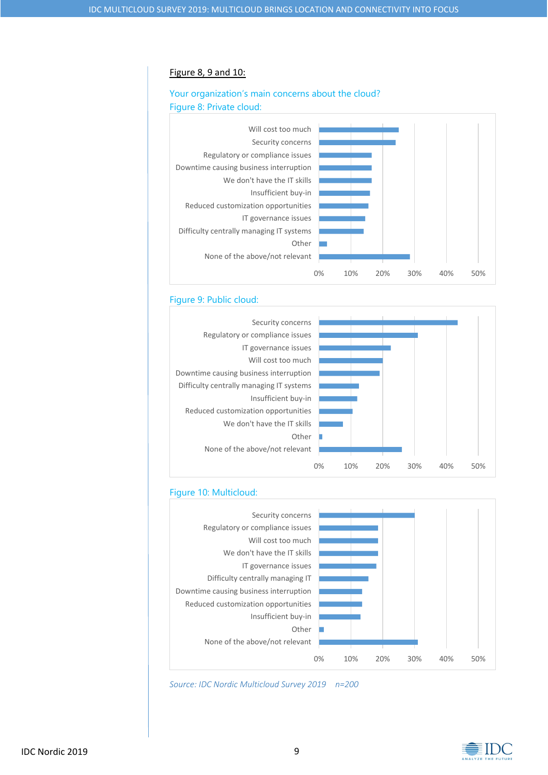#### Figure 8, 9 and 10:

## Your organization's main concerns about the cloud? Figure 8: Private cloud:



### Figure 9: Public cloud:



### Figure 10: Multicloud:



*Source: IDC Nordic Multicloud Survey 2019 n=200*

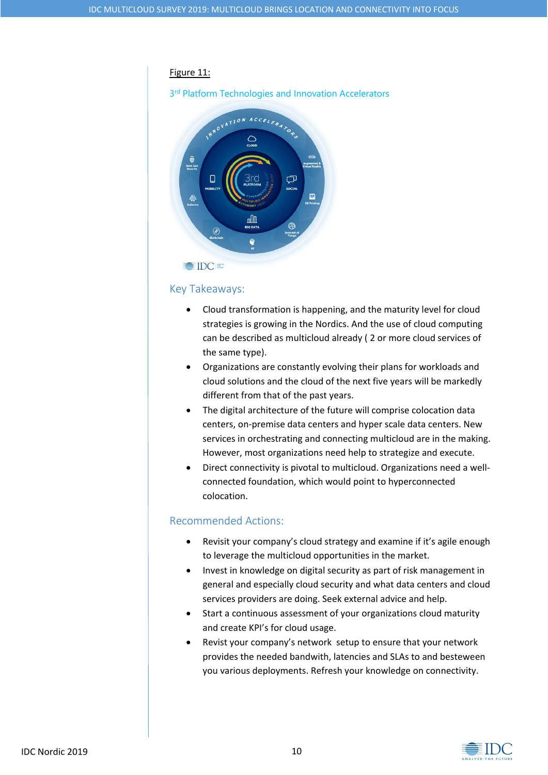### Figure 11:

3<sup>rd</sup> Platform Technologies and Innovation Accelerators



## Key Takeaways:

- Cloud transformation is happening, and the maturity level for cloud strategies is growing in the Nordics. And the use of cloud computing can be described as multicloud already ( 2 or more cloud services of the same type).
- Organizations are constantly evolving their plans for workloads and cloud solutions and the cloud of the next five years will be markedly different from that of the past years.
- The digital architecture of the future will comprise colocation data centers, on-premise data centers and hyper scale data centers. New services in orchestrating and connecting multicloud are in the making. However, most organizations need help to strategize and execute.
- Direct connectivity is pivotal to multicloud. Organizations need a wellconnected foundation, which would point to hyperconnected colocation.

## Recommended Actions:

- Revisit your company's cloud strategy and examine if it's agile enough to leverage the multicloud opportunities in the market.
- Invest in knowledge on digital security as part of risk management in general and especially cloud security and what data centers and cloud services providers are doing. Seek external advice and help.
- Start a continuous assessment of your organizations cloud maturity and create KPI's for cloud usage.
- Revist your company's network setup to ensure that your network provides the needed bandwith, latencies and SLAs to and besteween you various deployments. Refresh your knowledge on connectivity.